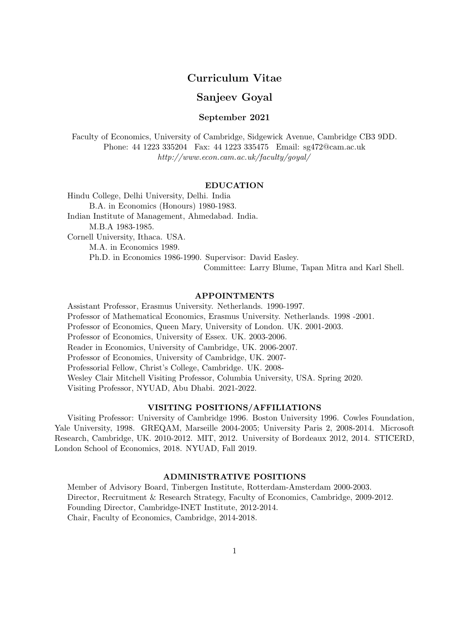# Curriculum Vitae

# Sanjeev Goyal

#### September 2021

Faculty of Economics, University of Cambridge, Sidgewick Avenue, Cambridge CB3 9DD. Phone: 44 1223 335204 Fax: 44 1223 335475 Email: sg472@cam.ac.uk http://www.econ.cam.ac.uk/faculty/goyal/

#### EDUCATION

Hindu College, Delhi University, Delhi. India B.A. in Economics (Honours) 1980-1983. Indian Institute of Management, Ahmedabad. India. M.B.A 1983-1985. Cornell University, Ithaca. USA. M.A. in Economics 1989. Ph.D. in Economics 1986-1990. Supervisor: David Easley. Committee: Larry Blume, Tapan Mitra and Karl Shell.

#### APPOINTMENTS

Assistant Professor, Erasmus University. Netherlands. 1990-1997. Professor of Mathematical Economics, Erasmus University. Netherlands. 1998 -2001. Professor of Economics, Queen Mary, University of London. UK. 2001-2003. Professor of Economics, University of Essex. UK. 2003-2006. Reader in Economics, University of Cambridge, UK. 2006-2007. Professor of Economics, University of Cambridge, UK. 2007- Professorial Fellow, Christ's College, Cambridge. UK. 2008- Wesley Clair Mitchell Visiting Professor, Columbia University, USA. Spring 2020. Visiting Professor, NYUAD, Abu Dhabi. 2021-2022.

#### VISITING POSITIONS/AFFILIATIONS

Visiting Professor: University of Cambridge 1996. Boston University 1996. Cowles Foundation, Yale University, 1998. GREQAM, Marseille 2004-2005; University Paris 2, 2008-2014. Microsoft Research, Cambridge, UK. 2010-2012. MIT, 2012. University of Bordeaux 2012, 2014. STICERD, London School of Economics, 2018. NYUAD, Fall 2019.

#### ADMINISTRATIVE POSITIONS

Member of Advisory Board, Tinbergen Institute, Rotterdam-Amsterdam 2000-2003. Director, Recruitment & Research Strategy, Faculty of Economics, Cambridge, 2009-2012. Founding Director, Cambridge-INET Institute, 2012-2014. Chair, Faculty of Economics, Cambridge, 2014-2018.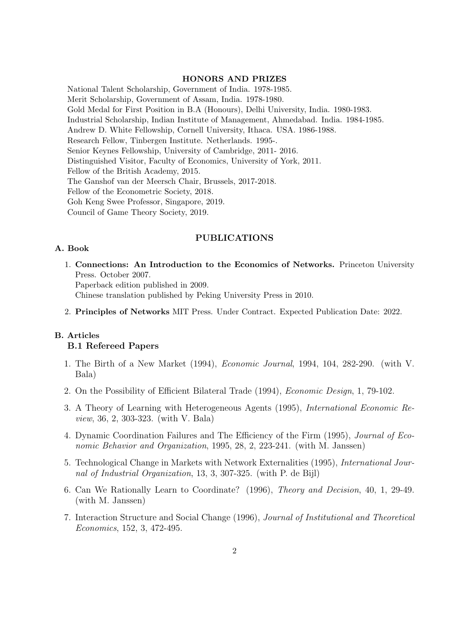# HONORS AND PRIZES

National Talent Scholarship, Government of India. 1978-1985. Merit Scholarship, Government of Assam, India. 1978-1980. Gold Medal for First Position in B.A (Honours), Delhi University, India. 1980-1983. Industrial Scholarship, Indian Institute of Management, Ahmedabad. India. 1984-1985. Andrew D. White Fellowship, Cornell University, Ithaca. USA. 1986-1988. Research Fellow, Tinbergen Institute. Netherlands. 1995-. Senior Keynes Fellowship, University of Cambridge, 2011- 2016. Distinguished Visitor, Faculty of Economics, University of York, 2011. Fellow of the British Academy, 2015. The Ganshof van der Meersch Chair, Brussels, 2017-2018. Fellow of the Econometric Society, 2018. Goh Keng Swee Professor, Singapore, 2019. Council of Game Theory Society, 2019.

### PUBLICATIONS

## A. Book

- 1. Connections: An Introduction to the Economics of Networks. Princeton University Press. October 2007. Paperback edition published in 2009. Chinese translation published by Peking University Press in 2010.
- 2. Principles of Networks MIT Press. Under Contract. Expected Publication Date: 2022.

# B. Articles B.1 Refereed Papers

- 1. The Birth of a New Market (1994), Economic Journal, 1994, 104, 282-290. (with V. Bala)
- 2. On the Possibility of Efficient Bilateral Trade (1994), Economic Design, 1, 79-102.
- 3. A Theory of Learning with Heterogeneous Agents (1995), International Economic Review, 36, 2, 303-323. (with V. Bala)
- 4. Dynamic Coordination Failures and The Efficiency of the Firm (1995), Journal of Economic Behavior and Organization, 1995, 28, 2, 223-241. (with M. Janssen)
- 5. Technological Change in Markets with Network Externalities (1995), International Journal of Industrial Organization, 13, 3, 307-325. (with P. de Bijl)
- 6. Can We Rationally Learn to Coordinate? (1996), Theory and Decision, 40, 1, 29-49. (with M. Janssen)
- 7. Interaction Structure and Social Change (1996), Journal of Institutional and Theoretical Economics, 152, 3, 472-495.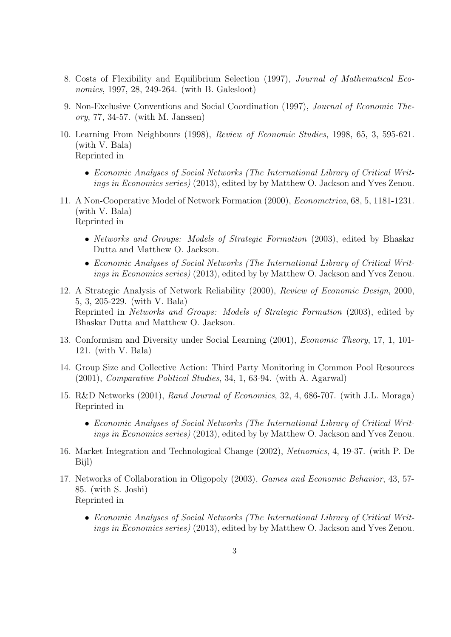- 8. Costs of Flexibility and Equilibrium Selection (1997), Journal of Mathematical Economics, 1997, 28, 249-264. (with B. Galesloot)
- 9. Non-Exclusive Conventions and Social Coordination (1997), Journal of Economic Theory, 77, 34-57. (with M. Janssen)
- 10. Learning From Neighbours (1998), Review of Economic Studies, 1998, 65, 3, 595-621. (with V. Bala) Reprinted in
	- Economic Analyses of Social Networks (The International Library of Critical Writings in Economics series) (2013), edited by by Matthew O. Jackson and Yves Zenou.
- 11. A Non-Cooperative Model of Network Formation (2000), Econometrica, 68, 5, 1181-1231. (with V. Bala) Reprinted in
	- Networks and Groups: Models of Strategic Formation (2003), edited by Bhaskar Dutta and Matthew O. Jackson.
	- Economic Analyses of Social Networks (The International Library of Critical Writings in Economics series) (2013), edited by by Matthew O. Jackson and Yves Zenou.
- 12. A Strategic Analysis of Network Reliability (2000), Review of Economic Design, 2000, 5, 3, 205-229. (with V. Bala) Reprinted in Networks and Groups: Models of Strategic Formation (2003), edited by Bhaskar Dutta and Matthew O. Jackson.
- 13. Conformism and Diversity under Social Learning (2001), Economic Theory, 17, 1, 101- 121. (with V. Bala)
- 14. Group Size and Collective Action: Third Party Monitoring in Common Pool Resources (2001), Comparative Political Studies, 34, 1, 63-94. (with A. Agarwal)
- 15. R&D Networks (2001), Rand Journal of Economics, 32, 4, 686-707. (with J.L. Moraga) Reprinted in
	- Economic Analyses of Social Networks (The International Library of Critical Writings in Economics series) (2013), edited by by Matthew O. Jackson and Yves Zenou.
- 16. Market Integration and Technological Change (2002), Netnomics, 4, 19-37. (with P. De Bijl)
- 17. Networks of Collaboration in Oligopoly (2003), Games and Economic Behavior, 43, 57- 85. (with S. Joshi) Reprinted in
	- Economic Analyses of Social Networks (The International Library of Critical Writings in Economics series) (2013), edited by by Matthew O. Jackson and Yves Zenou.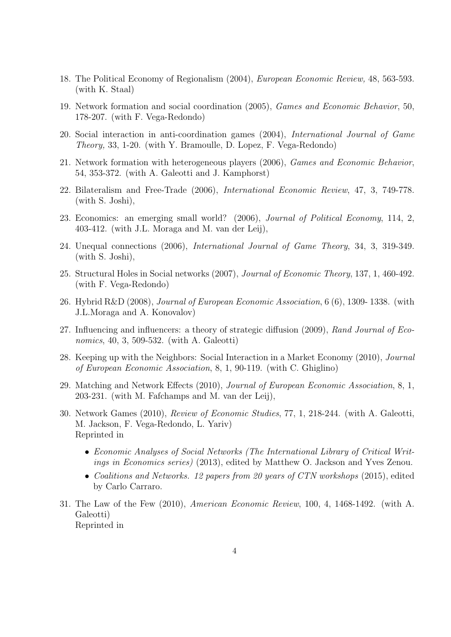- 18. The Political Economy of Regionalism (2004), European Economic Review, 48, 563-593. (with K. Staal)
- 19. Network formation and social coordination (2005), Games and Economic Behavior, 50, 178-207. (with F. Vega-Redondo)
- 20. Social interaction in anti-coordination games (2004), International Journal of Game Theory, 33, 1-20. (with Y. Bramoulle, D. Lopez, F. Vega-Redondo)
- 21. Network formation with heterogeneous players (2006), Games and Economic Behavior, 54, 353-372. (with A. Galeotti and J. Kamphorst)
- 22. Bilateralism and Free-Trade (2006), International Economic Review, 47, 3, 749-778. (with S. Joshi),
- 23. Economics: an emerging small world? (2006), Journal of Political Economy, 114, 2, 403-412. (with J.L. Moraga and M. van der Leij),
- 24. Unequal connections (2006), International Journal of Game Theory, 34, 3, 319-349. (with S. Joshi),
- 25. Structural Holes in Social networks (2007), Journal of Economic Theory, 137, 1, 460-492. (with F. Vega-Redondo)
- 26. Hybrid R&D (2008), Journal of European Economic Association, 6 (6), 1309- 1338. (with J.L.Moraga and A. Konovalov)
- 27. Influencing and influencers: a theory of strategic diffusion (2009), Rand Journal of Economics, 40, 3, 509-532. (with A. Galeotti)
- 28. Keeping up with the Neighbors: Social Interaction in a Market Economy (2010), Journal of European Economic Association, 8, 1, 90-119. (with C. Ghiglino)
- 29. Matching and Network Effects (2010), Journal of European Economic Association, 8, 1, 203-231. (with M. Fafchamps and M. van der Leij),
- 30. Network Games (2010), Review of Economic Studies, 77, 1, 218-244. (with A. Galeotti, M. Jackson, F. Vega-Redondo, L. Yariv) Reprinted in
	- Economic Analyses of Social Networks (The International Library of Critical Writings in Economics series) (2013), edited by Matthew O. Jackson and Yves Zenou.
	- Coalitions and Networks. 12 papers from 20 years of CTN workshops (2015), edited by Carlo Carraro.
- 31. The Law of the Few (2010), American Economic Review, 100, 4, 1468-1492. (with A. Galeotti) Reprinted in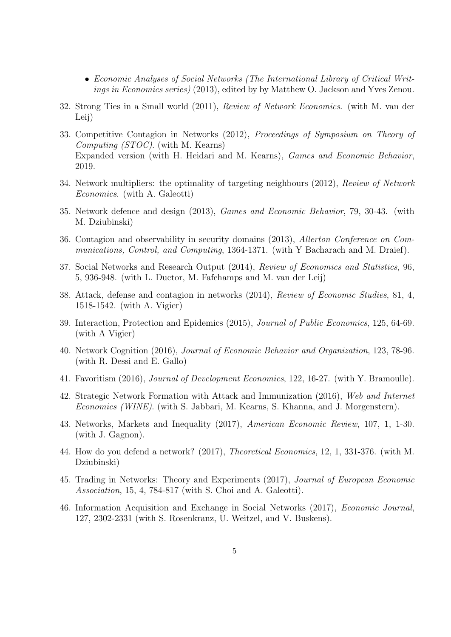- Economic Analyses of Social Networks (The International Library of Critical Writings in Economics series) (2013), edited by by Matthew O. Jackson and Yves Zenou.
- 32. Strong Ties in a Small world (2011), Review of Network Economics. (with M. van der Leij)
- 33. Competitive Contagion in Networks (2012), Proceedings of Symposium on Theory of Computing (STOC). (with M. Kearns) Expanded version (with H. Heidari and M. Kearns), Games and Economic Behavior, 2019.
- 34. Network multipliers: the optimality of targeting neighbours (2012), Review of Network Economics. (with A. Galeotti)
- 35. Network defence and design (2013), Games and Economic Behavior, 79, 30-43. (with M. Dziubinski)
- 36. Contagion and observability in security domains (2013), Allerton Conference on Communications, Control, and Computing, 1364-1371. (with Y Bacharach and M. Draief).
- 37. Social Networks and Research Output (2014), Review of Economics and Statistics, 96, 5, 936-948. (with L. Ductor, M. Fafchamps and M. van der Leij)
- 38. Attack, defense and contagion in networks (2014), Review of Economic Studies, 81, 4, 1518-1542. (with A. Vigier)
- 39. Interaction, Protection and Epidemics (2015), Journal of Public Economics, 125, 64-69. (with A Vigier)
- 40. Network Cognition (2016), Journal of Economic Behavior and Organization, 123, 78-96. (with R. Dessi and E. Gallo)
- 41. Favoritism (2016), Journal of Development Economics, 122, 16-27. (with Y. Bramoulle).
- 42. Strategic Network Formation with Attack and Immunization (2016), Web and Internet Economics (WINE). (with S. Jabbari, M. Kearns, S. Khanna, and J. Morgenstern).
- 43. Networks, Markets and Inequality (2017), American Economic Review, 107, 1, 1-30. (with J. Gagnon).
- 44. How do you defend a network? (2017), Theoretical Economics, 12, 1, 331-376. (with M. Dziubinski)
- 45. Trading in Networks: Theory and Experiments (2017), Journal of European Economic Association, 15, 4, 784-817 (with S. Choi and A. Galeotti).
- 46. Information Acquisition and Exchange in Social Networks (2017), Economic Journal, 127, 2302-2331 (with S. Rosenkranz, U. Weitzel, and V. Buskens).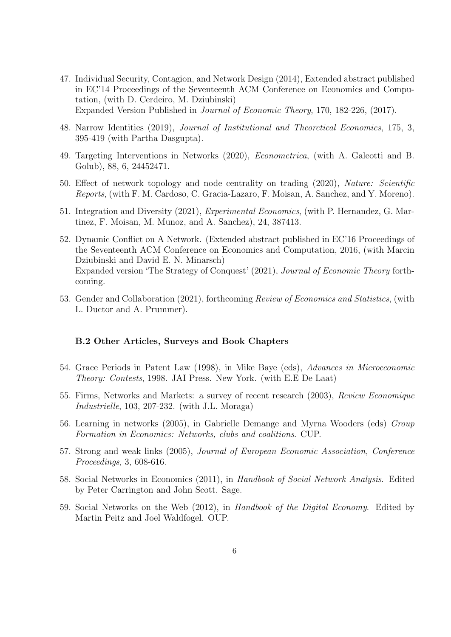- 47. Individual Security, Contagion, and Network Design (2014), Extended abstract published in EC'14 Proceedings of the Seventeenth ACM Conference on Economics and Computation, (with D. Cerdeiro, M. Dziubinski) Expanded Version Published in Journal of Economic Theory, 170, 182-226, (2017).
- 48. Narrow Identities (2019), Journal of Institutional and Theoretical Economics, 175, 3, 395-419 (with Partha Dasgupta).
- 49. Targeting Interventions in Networks (2020), Econometrica, (with A. Galeotti and B. Golub), 88, 6, 24452471.
- 50. Effect of network topology and node centrality on trading (2020), Nature: Scientific Reports, (with F. M. Cardoso, C. Gracia-Lazaro, F. Moisan, A. Sanchez, and Y. Moreno).
- 51. Integration and Diversity (2021), Experimental Economics, (with P. Hernandez, G. Martinez, F. Moisan, M. Munoz, and A. Sanchez), 24, 387413.
- 52. Dynamic Conflict on A Network. (Extended abstract published in EC'16 Proceedings of the Seventeenth ACM Conference on Economics and Computation, 2016, (with Marcin Dziubinski and David E. N. Minarsch) Expanded version 'The Strategy of Conquest' (2021), Journal of Economic Theory forthcoming.
- 53. Gender and Collaboration (2021), forthcoming Review of Economics and Statistics, (with L. Ductor and A. Prummer).

#### B.2 Other Articles, Surveys and Book Chapters

- 54. Grace Periods in Patent Law (1998), in Mike Baye (eds), Advances in Microeconomic Theory: Contests, 1998. JAI Press. New York. (with E.E De Laat)
- 55. Firms, Networks and Markets: a survey of recent research (2003), Review Economique Industrielle, 103, 207-232. (with J.L. Moraga)
- 56. Learning in networks (2005), in Gabrielle Demange and Myrna Wooders (eds) Group Formation in Economics: Networks, clubs and coalitions. CUP.
- 57. Strong and weak links (2005), Journal of European Economic Association, Conference Proceedings, 3, 608-616.
- 58. Social Networks in Economics (2011), in Handbook of Social Network Analysis. Edited by Peter Carrington and John Scott. Sage.
- 59. Social Networks on the Web (2012), in Handbook of the Digital Economy. Edited by Martin Peitz and Joel Waldfogel. OUP.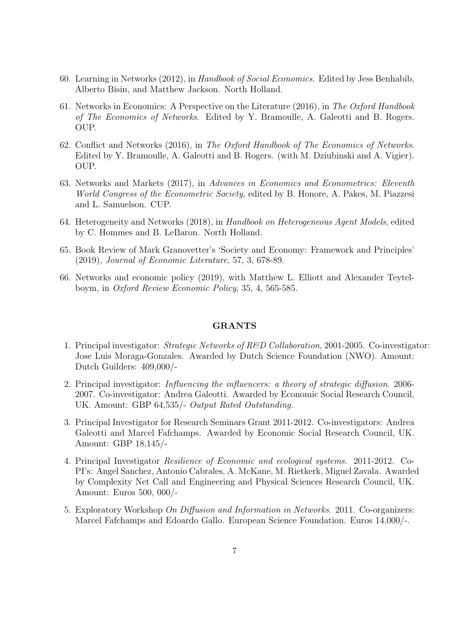- 60. Learning in Networks (2012), in Handbook of Social Economics. Edited by Jess Benhabib, Alberto Bisin, and Matthew Jackson. North Holland.
- 61. Networks in Economics: A Perspective on the Literature (2016), in The Oxford Handbook of The Economics of Networks. Edited by Y. Bramoulle, A. Galeotti and B. Rogers. OUP.
- 62. Conflict and Networks (2016), in The Oxford Handbook of The Economics of Networks. Edited by Y. Bramoulle, A. Galeotti and B. Rogers. (with M. Dziubinski and A. Vigier). OUP.
- 63. Networks and Markets (2017), in Advances in Economics and Econometrics: Eleventh World Congress of the Econometric Society, edited by B. Honore, A. Pakes, M. Piazzesi and L. Samuelson. CUP.
- 64. Heterogeneity and Networks (2018), in Handbook on Heterogeneous Agent Models, edited by C. Hommes and B. LeBaron. North Holland.
- 65. Book Review of Mark Granovetter's 'Society and Economy: Framework and Principles' (2019), Journal of Economic Literature, 57, 3, 678-89.
- 66. Networks and economic policy (2019), with Matthew L. Elliott and Alexander Teytelboym, in Oxford Review Economic Policy, 35, 4, 565-585.

## GRANTS

- 1. Principal investigator: *Strategic Networks of R&D Collaboration*, 2001-2005. Co-investigator: Jose Luis Moraga-Gonzales. Awarded by Dutch Science Foundation (NWO). Amount: Dutch Guilders: 409,000/-
- 2. Principal investigator: *Influencing the influencers: a theory of strategic diffusion.* 2006-2007. Co-investigator: Andrea Galeotti. Awarded by Economic Social Research Council, UK. Amount: GBP 64,535/- Output Rated Outstanding.
- 3. Principal Investigator for Research Seminars Grant 2011-2012. Co-investigators: Andrea Galeotti and Marcel Fafchamps. Awarded by Economic Social Research Council, UK. Amount: GBP 18,145/-
- 4. Principal Investigator Resilience of Economic and ecological systems. 2011-2012. Co-PI's: Angel Sanchez, Antonio Cabrales, A. McKane, M. Rietkerk, Miguel Zavala. Awarded by Complexity Net Call and Engineering and Physical Sciences Research Council, UK. Amount: Euros 500, 000/-
- 5. Exploratory Workshop On Diffusion and Information in Networks. 2011. Co-organizers: Marcel Fafchamps and Edoardo Gallo. European Science Foundation. Euros 14,000/-.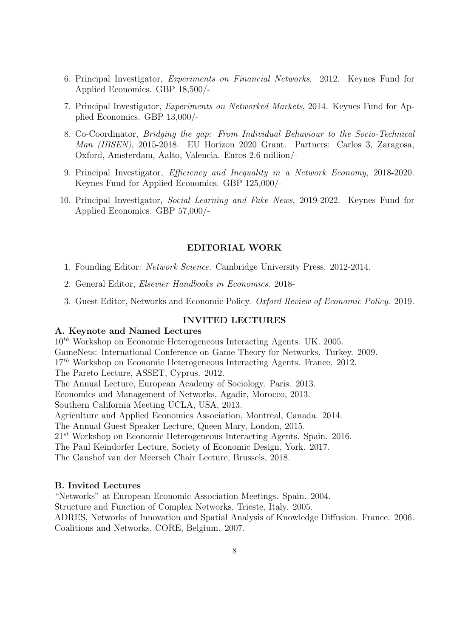- 6. Principal Investigator, Experiments on Financial Networks. 2012. Keynes Fund for Applied Economics. GBP 18,500/-
- 7. Principal Investigator, Experiments on Networked Markets, 2014. Keynes Fund for Applied Economics. GBP 13,000/-
- 8. Co-Coordinator, Bridging the gap: From Individual Behaviour to the Socio-Technical Man (IBSEN), 2015-2018. EU Horizon 2020 Grant. Partners: Carlos 3, Zaragosa, Oxford, Amsterdam, Aalto, Valencia. Euros 2.6 million/-
- 9. Principal Investigator, Efficiency and Inequality in a Network Economy, 2018-2020. Keynes Fund for Applied Economics. GBP 125,000/-
- 10. Principal Investigator, Social Learning and Fake News, 2019-2022. Keynes Fund for Applied Economics. GBP 57,000/-

#### EDITORIAL WORK

- 1. Founding Editor: Network Science. Cambridge University Press. 2012-2014.
- 2. General Editor, Elsevier Handbooks in Economics. 2018-
- 3. Guest Editor, Networks and Economic Policy. Oxford Review of Economic Policy. 2019.

## INVITED LECTURES

## A. Keynote and Named Lectures

 $10^{th}$  Workshop on Economic Heterogeneous Interacting Agents. UK. 2005. GameNets: International Conference on Game Theory for Networks. Turkey. 2009.  $17<sup>th</sup>$  Workshop on Economic Heterogeneous Interacting Agents. France. 2012. The Pareto Lecture, ASSET, Cyprus. 2012. The Annual Lecture, European Academy of Sociology. Paris. 2013. Economics and Management of Networks, Agadir, Morocco, 2013. Southern California Meeting UCLA, USA, 2013. Agriculture and Applied Economics Association, Montreal, Canada. 2014. The Annual Guest Speaker Lecture, Queen Mary, London, 2015.  $21^{st}$  Workshop on Economic Heterogeneous Interacting Agents. Spain. 2016. The Paul Keindorfer Lecture, Society of Economic Design, York. 2017. The Ganshof van der Meersch Chair Lecture, Brussels, 2018.

## B. Invited Lectures

"Networks" at European Economic Association Meetings. Spain. 2004.

Structure and Function of Complex Networks, Trieste, Italy. 2005.

ADRES, Networks of Innovation and Spatial Analysis of Knowledge Diffusion. France. 2006. Coalitions and Networks, CORE, Belgium. 2007.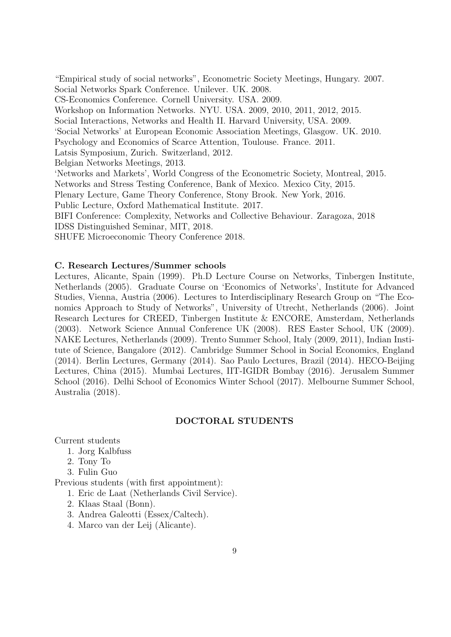"Empirical study of social networks", Econometric Society Meetings, Hungary. 2007. Social Networks Spark Conference. Unilever. UK. 2008. CS-Economics Conference. Cornell University. USA. 2009. Workshop on Information Networks. NYU. USA. 2009, 2010, 2011, 2012, 2015. Social Interactions, Networks and Health II. Harvard University, USA. 2009. 'Social Networks' at European Economic Association Meetings, Glasgow. UK. 2010. Psychology and Economics of Scarce Attention, Toulouse. France. 2011. Latsis Symposium, Zurich. Switzerland, 2012. Belgian Networks Meetings, 2013. 'Networks and Markets', World Congress of the Econometric Society, Montreal, 2015. Networks and Stress Testing Conference, Bank of Mexico. Mexico City, 2015. Plenary Lecture, Game Theory Conference, Stony Brook. New York, 2016. Public Lecture, Oxford Mathematical Institute. 2017. BIFI Conference: Complexity, Networks and Collective Behaviour. Zaragoza, 2018 IDSS Distinguished Seminar, MIT, 2018.

SHUFE Microeconomic Theory Conference 2018.

## C. Research Lectures/Summer schools

Lectures, Alicante, Spain (1999). Ph.D Lecture Course on Networks, Tinbergen Institute, Netherlands (2005). Graduate Course on 'Economics of Networks', Institute for Advanced Studies, Vienna, Austria (2006). Lectures to Interdisciplinary Research Group on "The Economics Approach to Study of Networks", University of Utrecht, Netherlands (2006). Joint Research Lectures for CREED, Tinbergen Institute & ENCORE, Amsterdam, Netherlands (2003). Network Science Annual Conference UK (2008). RES Easter School, UK (2009). NAKE Lectures, Netherlands (2009). Trento Summer School, Italy (2009, 2011), Indian Institute of Science, Bangalore (2012). Cambridge Summer School in Social Economics, England (2014). Berlin Lectures, Germany (2014). Sao Paulo Lectures, Brazil (2014). HECO-Beijing Lectures, China (2015). Mumbai Lectures, IIT-IGIDR Bombay (2016). Jerusalem Summer School (2016). Delhi School of Economics Winter School (2017). Melbourne Summer School, Australia (2018).

# DOCTORAL STUDENTS

Current students

- 1. Jorg Kalbfuss
- 2. Tony To
- 3. Fulin Guo

Previous students (with first appointment):

- 1. Eric de Laat (Netherlands Civil Service).
- 2. Klaas Staal (Bonn).
- 3. Andrea Galeotti (Essex/Caltech).
- 4. Marco van der Leij (Alicante).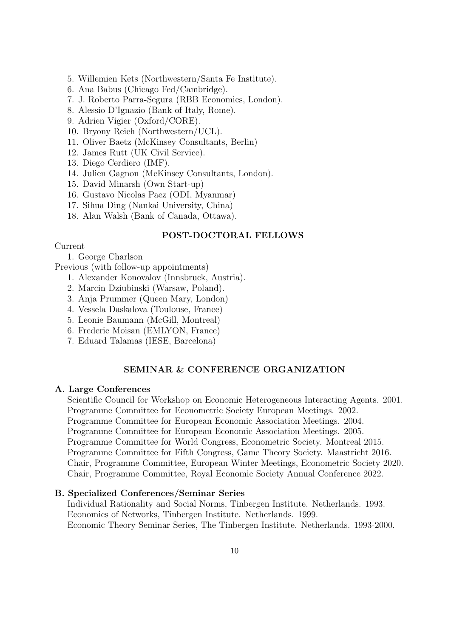- 5. Willemien Kets (Northwestern/Santa Fe Institute).
- 6. Ana Babus (Chicago Fed/Cambridge).
- 7. J. Roberto Parra-Segura (RBB Economics, London).
- 8. Alessio D'Ignazio (Bank of Italy, Rome).
- 9. Adrien Vigier (Oxford/CORE).
- 10. Bryony Reich (Northwestern/UCL).
- 11. Oliver Baetz (McKinsey Consultants, Berlin)
- 12. James Rutt (UK Civil Service).
- 13. Diego Cerdiero (IMF).
- 14. Julien Gagnon (McKinsey Consultants, London).
- 15. David Minarsh (Own Start-up)
- 16. Gustavo Nicolas Paez (ODI, Myanmar)
- 17. Sihua Ding (Nankai University, China)
- 18. Alan Walsh (Bank of Canada, Ottawa).

# POST-DOCTORAL FELLOWS

#### Current

- 1. George Charlson
- Previous (with follow-up appointments)
	- 1. Alexander Konovalov (Innsbruck, Austria).
	- 2. Marcin Dziubinski (Warsaw, Poland).
	- 3. Anja Prummer (Queen Mary, London)
	- 4. Vessela Daskalova (Toulouse, France)
	- 5. Leonie Baumann (McGill, Montreal)
	- 6. Frederic Moisan (EMLYON, France)
	- 7. Eduard Talamas (IESE, Barcelona)

# SEMINAR & CONFERENCE ORGANIZATION

## A. Large Conferences

Scientific Council for Workshop on Economic Heterogeneous Interacting Agents. 2001. Programme Committee for Econometric Society European Meetings. 2002. Programme Committee for European Economic Association Meetings. 2004. Programme Committee for European Economic Association Meetings. 2005. Programme Committee for World Congress, Econometric Society. Montreal 2015. Programme Committee for Fifth Congress, Game Theory Society. Maastricht 2016. Chair, Programme Committee, European Winter Meetings, Econometric Society 2020. Chair, Programme Committee, Royal Economic Society Annual Conference 2022.

# B. Specialized Conferences/Seminar Series

Individual Rationality and Social Norms, Tinbergen Institute. Netherlands. 1993. Economics of Networks, Tinbergen Institute. Netherlands. 1999. Economic Theory Seminar Series, The Tinbergen Institute. Netherlands. 1993-2000.